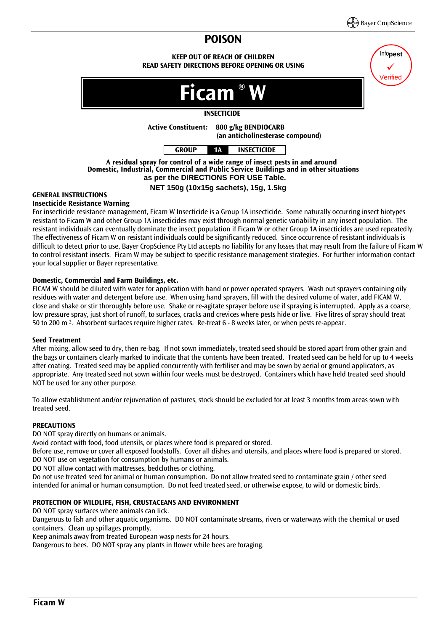Info**pest**  $\checkmark$ Verified

# **POISON**

**KEEP OUT OF REACH OF CHILDREN READ SAFETY DIRECTIONS BEFORE OPENING OR USING**



## **INSECTICIDE**



**A residual spray for control of a wide range of insect pests in and around Domestic, Industrial, Commercial and Public Service Buildings and in other situations as per the DIRECTIONS FOR USE Table.**

## **NET 150g (10x15g sachets), 15g, 1.5kg**

## **GENERAL INSTRUCTIONS**

## **Insecticide Resistance Warning**

For insecticide resistance management, Ficam W Insecticide is a Group 1A insecticide. Some naturally occurring insect biotypes resistant to Ficam W and other Group 1A insecticides may exist through normal genetic variability in any insect population. The resistant individuals can eventually dominate the insect population if Ficam W or other Group 1A insecticides are used repeatedly. The effectiveness of Ficam W on resistant individuals could be significantly reduced. Since occurrence of resistant individuals is difficult to detect prior to use, Bayer CropScience Pty Ltd accepts no liability for any losses that may result from the failure of Ficam W to control resistant insects. Ficam W may be subject to specific resistance management strategies. For further information contact your local supplier or Bayer representative.

## **Domestic, Commercial and Farm Buildings, etc.**

FICAM W should be diluted with water for application with hand or power operated sprayers. Wash out sprayers containing oily residues with water and detergent before use. When using hand sprayers, fill with the desired volume of water, add FICAM W, close and shake or stir thoroughly before use. Shake or re-agitate sprayer before use if spraying is interrupted. Apply as a coarse, low pressure spray, just short of runoff, to surfaces, cracks and crevices where pests hide or live. Five litres of spray should treat 50 to 200 m 2. Absorbent surfaces require higher rates. Re-treat 6 - 8 weeks later, or when pests re-appear.

## **Seed Treatment**

After mixing, allow seed to dry, then re-bag. If not sown immediately, treated seed should be stored apart from other grain and the bags or containers clearly marked to indicate that the contents have been treated. Treated seed can be held for up to 4 weeks after coating. Treated seed may be applied concurrently with fertiliser and may be sown by aerial or ground applicators, as appropriate. Any treated seed not sown within four weeks must be destroyed. Containers which have held treated seed should NOT be used for any other purpose.

To allow establishment and/or rejuvenation of pastures, stock should be excluded for at least 3 months from areas sown with treated seed.

## **PRECAUTIONS**

DO NOT spray directly on humans or animals.

Avoid contact with food, food utensils, or places where food is prepared or stored.

Before use, remove or cover all exposed foodstuffs. Cover all dishes and utensils, and places where food is prepared or stored. DO NOT use on vegetation for consumption by humans or animals.

DO NOT allow contact with mattresses, bedclothes or clothing.

Do not use treated seed for animal or human consumption. Do not allow treated seed to contaminate grain / other seed intended for animal or human consumption. Do not feed treated seed, or otherwise expose, to wild or domestic birds.

## **PROTECTION OF WILDLIFE, FISH, CRUSTACEANS AND ENVIRONMENT**

DO NOT spray surfaces where animals can lick.

Dangerous to fish and other aquatic organisms. DO NOT contaminate streams, rivers or waterways with the chemical or used containers. Clean up spillages promptly.

Keep animals away from treated European wasp nests for 24 hours.

Dangerous to bees. DO NOT spray any plants in flower while bees are foraging.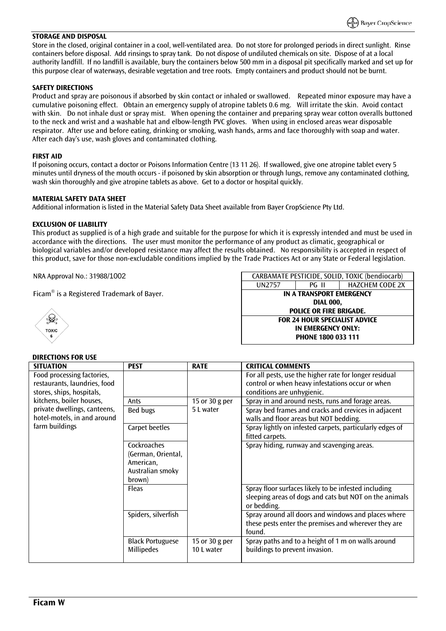#### **STORAGE AND DISPOSAL**

Store in the closed, original container in a cool, well-ventilated area. Do not store for prolonged periods in direct sunlight. Rinse containers before disposal. Add rinsings to spray tank. Do not dispose of undiluted chemicals on site. Dispose of at a local authority landfill. If no landfill is available, bury the containers below 500 mm in a disposal pit specifically marked and set up for this purpose clear of waterways, desirable vegetation and tree roots. Empty containers and product should not be burnt.

#### **SAFETY DIRECTIONS**

Product and spray are poisonous if absorbed by skin contact or inhaled or swallowed. Repeated minor exposure may have a cumulative poisoning effect. Obtain an emergency supply of atropine tablets 0.6 mg. Will irritate the skin. Avoid contact with skin. Do not inhale dust or spray mist. When opening the container and preparing spray wear cotton overalls buttoned to the neck and wrist and a washable hat and elbow-length PVC gloves. When using in enclosed areas wear disposable respirator. After use and before eating, drinking or smoking, wash hands, arms and face thoroughly with soap and water. After each day's use, wash gloves and contaminated clothing.

#### **FIRST AID**

If poisoning occurs, contact a doctor or Poisons Information Centre (13 11 26). If swallowed, give one atropine tablet every 5 minutes until dryness of the mouth occurs - if poisoned by skin absorption or through lungs, remove any contaminated clothing, wash skin thoroughly and give atropine tablets as above. Get to a doctor or hospital quickly.

#### **MATERIAL SAFETY DATA SHEET**

Additional information is listed in the Material Safety Data Sheet available from Bayer CropScience Pty Ltd.

#### **EXCLUSION OF LIABILITY**

This product as supplied is of a high grade and suitable for the purpose for which it is expressly intended and must be used in accordance with the directions. The user must monitor the performance of any product as climatic, geographical or biological variables and/or developed resistance may affect the results obtained. No responsibility is accepted in respect of this product, save for those non-excludable conditions implied by the Trade Practices Act or any State or Federal legislation.

NRA Approval No.: 31988/1002

Ficam $\mathbb{B}$  is a Registered Trademark of Bayer.



#### UN2757 | PG II | HAZCHEM CODE 2X **IN A TRANSPORT EMERGENCY DIAL 000, POLICE OR FIRE BRIGADE.**

CARBAMATE PESTICIDE, SOLID, TOXIC (bendiocarb)

**FOR 24 HOUR SPECIALIST ADVICE IN EMERGENCY ONLY: PHONE 1800 033 111**

## **DIRECTIONS FOR USE**

| <b>SITUATION</b>             | <b>PEST</b>             | <b>RATE</b>    | <b>CRITICAL COMMENTS</b>                                       |
|------------------------------|-------------------------|----------------|----------------------------------------------------------------|
| Food processing factories,   |                         |                | For all pests, use the higher rate for longer residual         |
| restaurants, laundries, food |                         |                | control or when heavy infestations occur or when               |
| stores, ships, hospitals,    |                         |                | conditions are unhygienic.                                     |
| kitchens, boiler houses,     | Ants                    | 15 or 30 g per | Spray in and around nests, runs and forage areas.              |
| private dwellings, canteens, | Bed bugs                | 5 L water      | Spray bed frames and cracks and crevices in adjacent           |
| hotel-motels, in and around  |                         |                | walls and floor areas but NOT bedding.                         |
| farm buildings               | Carpet beetles          |                | Spray lightly on infested carpets, particularly edges of       |
|                              |                         |                | fitted carpets.                                                |
|                              | Cockroaches             |                | Spray hiding, runway and scavenging areas.                     |
|                              | (German, Oriental,      |                |                                                                |
|                              | American,               |                |                                                                |
|                              | Australian smoky        |                |                                                                |
|                              | brown)                  |                |                                                                |
|                              | Fleas                   |                | Spray floor surfaces likely to be infested including           |
|                              |                         |                | sleeping areas of dogs and cats but NOT on the animals         |
|                              |                         |                | or bedding.                                                    |
|                              | Spiders, silverfish     |                | Spray around all doors and windows and places where            |
|                              |                         |                | these pests enter the premises and wherever they are<br>found. |
|                              | <b>Black Portuguese</b> | 15 or 30 g per | Spray paths and to a height of 1 m on walls around             |
|                              | <b>Millipedes</b>       | 10 L water     | buildings to prevent invasion.                                 |
|                              |                         |                |                                                                |